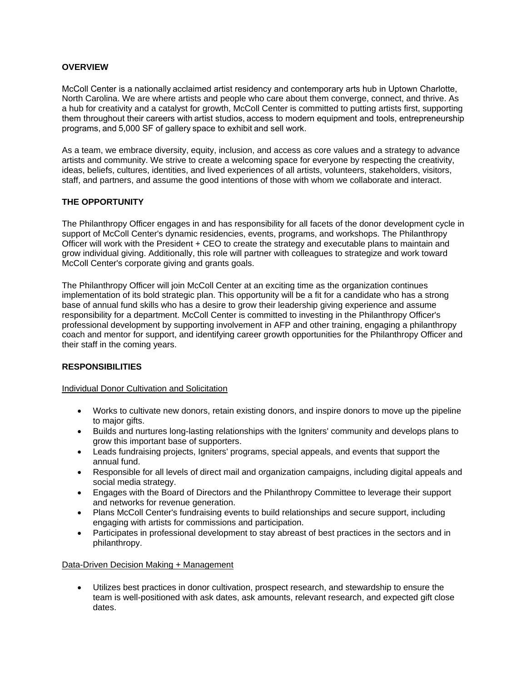### **OVERVIEW**

McColl Center is a nationally acclaimed artist residency and contemporary arts hub in Uptown Charlotte, North Carolina. We are where artists and people who care about them converge, connect, and thrive. As a hub for creativity and a catalyst for growth, McColl Center is committed to putting artists first, supporting them throughout their careers with artist studios, access to modern equipment and tools, entrepreneurship programs, and 5,000 SF of gallery space to exhibit and sell work.

As a team, we embrace diversity, equity, inclusion, and access as core values and a strategy to advance artists and community. We strive to create a welcoming space for everyone by respecting the creativity, ideas, beliefs, cultures, identities, and lived experiences of all artists, volunteers, stakeholders, visitors, staff, and partners, and assume the good intentions of those with whom we collaborate and interact.

### **THE OPPORTUNITY**

The Philanthropy Officer engages in and has responsibility for all facets of the donor development cycle in support of McColl Center's dynamic residencies, events, programs, and workshops. The Philanthropy Officer will work with the President + CEO to create the strategy and executable plans to maintain and grow individual giving. Additionally, this role will partner with colleagues to strategize and work toward McColl Center's corporate giving and grants goals.

The Philanthropy Officer will join McColl Center at an exciting time as the organization continues implementation of its bold strategic plan. This opportunity will be a fit for a candidate who has a strong base of annual fund skills who has a desire to grow their leadership giving experience and assume responsibility for a department. McColl Center is committed to investing in the Philanthropy Officer's professional development by supporting involvement in AFP and other training, engaging a philanthropy coach and mentor for support, and identifying career growth opportunities for the Philanthropy Officer and their staff in the coming years.

# **RESPONSIBILITIES**

#### Individual Donor Cultivation and Solicitation

- Works to cultivate new donors, retain existing donors, and inspire donors to move up the pipeline to major gifts.
- Builds and nurtures long-lasting relationships with the Igniters' community and develops plans to grow this important base of supporters.
- Leads fundraising projects, Igniters' programs, special appeals, and events that support the annual fund.
- Responsible for all levels of direct mail and organization campaigns, including digital appeals and social media strategy.
- Engages with the Board of Directors and the Philanthropy Committee to leverage their support and networks for revenue generation.
- Plans McColl Center's fundraising events to build relationships and secure support, including engaging with artists for commissions and participation.
- Participates in professional development to stay abreast of best practices in the sectors and in philanthropy.

#### Data-Driven Decision Making + Management

 Utilizes best practices in donor cultivation, prospect research, and stewardship to ensure the team is well-positioned with ask dates, ask amounts, relevant research, and expected gift close dates.